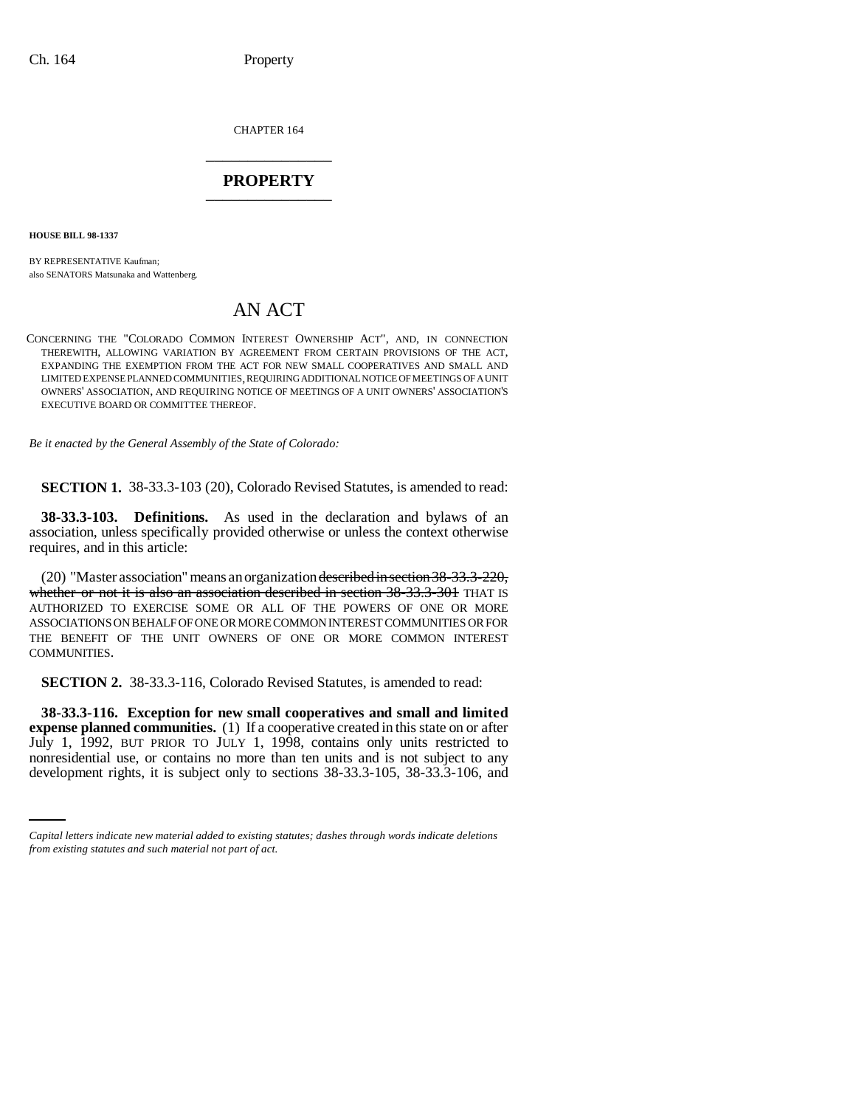CHAPTER 164 \_\_\_\_\_\_\_\_\_\_\_\_\_\_\_

# **PROPERTY** \_\_\_\_\_\_\_\_\_\_\_\_\_\_\_

**HOUSE BILL 98-1337**

BY REPRESENTATIVE Kaufman; also SENATORS Matsunaka and Wattenberg.

# AN ACT

CONCERNING THE "COLORADO COMMON INTEREST OWNERSHIP ACT", AND, IN CONNECTION THEREWITH, ALLOWING VARIATION BY AGREEMENT FROM CERTAIN PROVISIONS OF THE ACT, EXPANDING THE EXEMPTION FROM THE ACT FOR NEW SMALL COOPERATIVES AND SMALL AND LIMITED EXPENSE PLANNED COMMUNITIES, REQUIRING ADDITIONAL NOTICE OF MEETINGS OF A UNIT OWNERS' ASSOCIATION, AND REQUIRING NOTICE OF MEETINGS OF A UNIT OWNERS' ASSOCIATION'S EXECUTIVE BOARD OR COMMITTEE THEREOF.

*Be it enacted by the General Assembly of the State of Colorado:*

**SECTION 1.** 38-33.3-103 (20), Colorado Revised Statutes, is amended to read:

**38-33.3-103. Definitions.** As used in the declaration and bylaws of an association, unless specifically provided otherwise or unless the context otherwise requires, and in this article:

(20) "Master association" means an organization described in section 38-33.3-220, whether or not it is also an association described in section 38-33.3-301 THAT IS AUTHORIZED TO EXERCISE SOME OR ALL OF THE POWERS OF ONE OR MORE ASSOCIATIONS ON BEHALF OF ONE OR MORE COMMON INTEREST COMMUNITIES OR FOR THE BENEFIT OF THE UNIT OWNERS OF ONE OR MORE COMMON INTEREST COMMUNITIES.

**SECTION 2.** 38-33.3-116, Colorado Revised Statutes, is amended to read:

July 1, 1992, BUT PRIOR TO JULY 1, 1998, contains only units restricted to **38-33.3-116. Exception for new small cooperatives and small and limited expense planned communities.** (1) If a cooperative created in this state on or after nonresidential use, or contains no more than ten units and is not subject to any development rights, it is subject only to sections 38-33.3-105, 38-33.3-106, and

*Capital letters indicate new material added to existing statutes; dashes through words indicate deletions from existing statutes and such material not part of act.*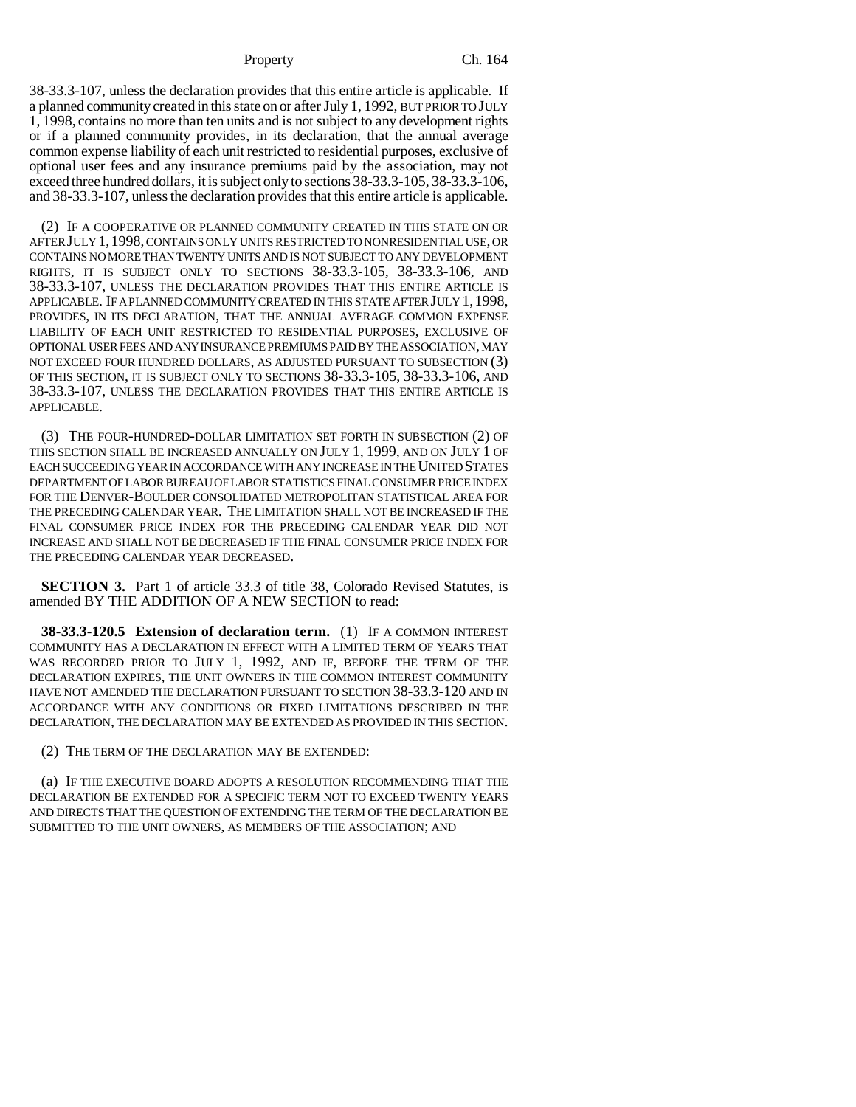### Property Ch. 164

38-33.3-107, unless the declaration provides that this entire article is applicable. If a planned community created in this state on or after July 1, 1992, BUT PRIOR TO JULY 1, 1998, contains no more than ten units and is not subject to any development rights or if a planned community provides, in its declaration, that the annual average common expense liability of each unit restricted to residential purposes, exclusive of optional user fees and any insurance premiums paid by the association, may not exceed three hundred dollars, it is subject only to sections 38-33.3-105, 38-33.3-106, and 38-33.3-107, unless the declaration provides that this entire article is applicable.

(2) IF A COOPERATIVE OR PLANNED COMMUNITY CREATED IN THIS STATE ON OR AFTER JULY 1,1998, CONTAINS ONLY UNITS RESTRICTED TO NONRESIDENTIAL USE, OR CONTAINS NO MORE THAN TWENTY UNITS AND IS NOT SUBJECT TO ANY DEVELOPMENT RIGHTS, IT IS SUBJECT ONLY TO SECTIONS 38-33.3-105, 38-33.3-106, AND 38-33.3-107, UNLESS THE DECLARATION PROVIDES THAT THIS ENTIRE ARTICLE IS APPLICABLE. IF A PLANNED COMMUNITY CREATED IN THIS STATE AFTER JULY 1,1998, PROVIDES, IN ITS DECLARATION, THAT THE ANNUAL AVERAGE COMMON EXPENSE LIABILITY OF EACH UNIT RESTRICTED TO RESIDENTIAL PURPOSES, EXCLUSIVE OF OPTIONAL USER FEES AND ANY INSURANCE PREMIUMS PAID BY THE ASSOCIATION, MAY NOT EXCEED FOUR HUNDRED DOLLARS, AS ADJUSTED PURSUANT TO SUBSECTION (3) OF THIS SECTION, IT IS SUBJECT ONLY TO SECTIONS 38-33.3-105, 38-33.3-106, AND 38-33.3-107, UNLESS THE DECLARATION PROVIDES THAT THIS ENTIRE ARTICLE IS APPLICABLE.

(3) THE FOUR-HUNDRED-DOLLAR LIMITATION SET FORTH IN SUBSECTION (2) OF THIS SECTION SHALL BE INCREASED ANNUALLY ON JULY 1, 1999, AND ON JULY 1 OF EACH SUCCEEDING YEAR IN ACCORDANCE WITH ANY INCREASE IN THE UNITED STATES DEPARTMENT OF LABOR BUREAU OF LABOR STATISTICS FINAL CONSUMER PRICE INDEX FOR THE DENVER-BOULDER CONSOLIDATED METROPOLITAN STATISTICAL AREA FOR THE PRECEDING CALENDAR YEAR. THE LIMITATION SHALL NOT BE INCREASED IF THE FINAL CONSUMER PRICE INDEX FOR THE PRECEDING CALENDAR YEAR DID NOT INCREASE AND SHALL NOT BE DECREASED IF THE FINAL CONSUMER PRICE INDEX FOR THE PRECEDING CALENDAR YEAR DECREASED.

**SECTION 3.** Part 1 of article 33.3 of title 38, Colorado Revised Statutes, is amended BY THE ADDITION OF A NEW SECTION to read:

**38-33.3-120.5 Extension of declaration term.** (1) IF A COMMON INTEREST COMMUNITY HAS A DECLARATION IN EFFECT WITH A LIMITED TERM OF YEARS THAT WAS RECORDED PRIOR TO JULY 1, 1992, AND IF, BEFORE THE TERM OF THE DECLARATION EXPIRES, THE UNIT OWNERS IN THE COMMON INTEREST COMMUNITY HAVE NOT AMENDED THE DECLARATION PURSUANT TO SECTION 38-33.3-120 AND IN ACCORDANCE WITH ANY CONDITIONS OR FIXED LIMITATIONS DESCRIBED IN THE DECLARATION, THE DECLARATION MAY BE EXTENDED AS PROVIDED IN THIS SECTION.

(2) THE TERM OF THE DECLARATION MAY BE EXTENDED:

(a) IF THE EXECUTIVE BOARD ADOPTS A RESOLUTION RECOMMENDING THAT THE DECLARATION BE EXTENDED FOR A SPECIFIC TERM NOT TO EXCEED TWENTY YEARS AND DIRECTS THAT THE QUESTION OF EXTENDING THE TERM OF THE DECLARATION BE SUBMITTED TO THE UNIT OWNERS, AS MEMBERS OF THE ASSOCIATION; AND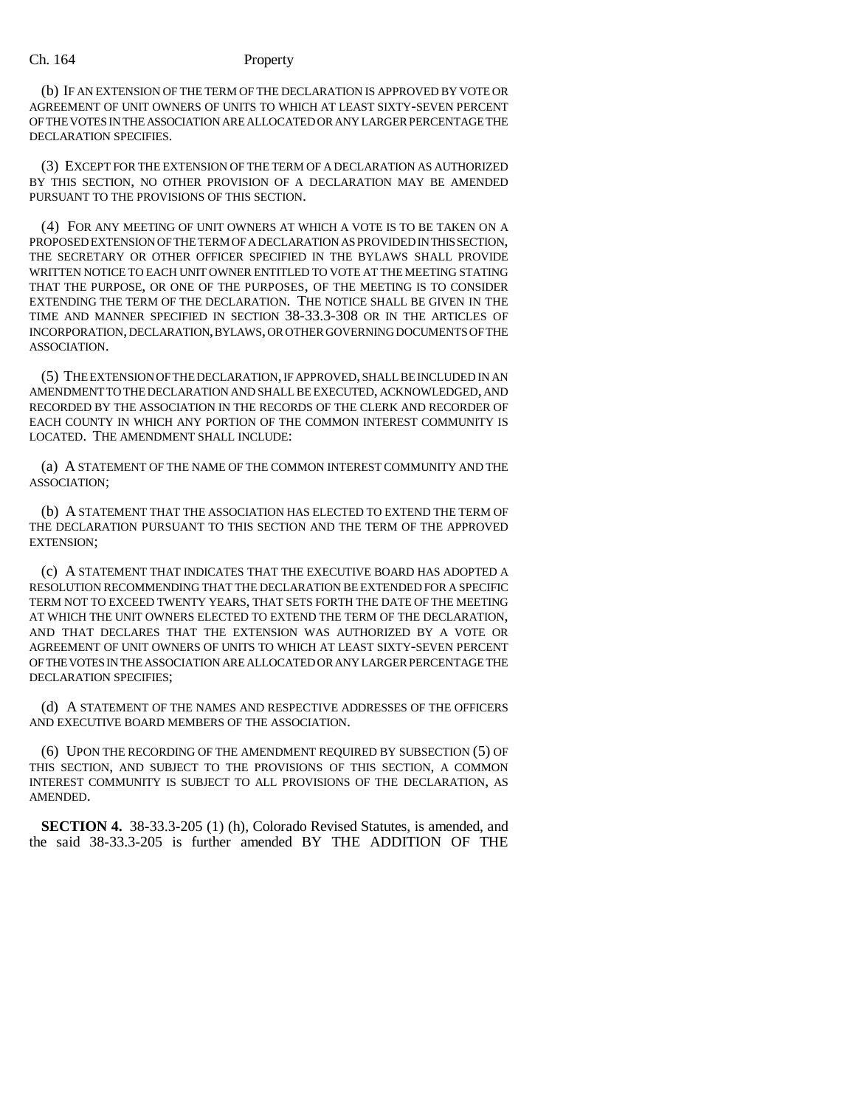### Ch. 164 Property

(b) IF AN EXTENSION OF THE TERM OF THE DECLARATION IS APPROVED BY VOTE OR AGREEMENT OF UNIT OWNERS OF UNITS TO WHICH AT LEAST SIXTY-SEVEN PERCENT OF THE VOTES IN THE ASSOCIATION ARE ALLOCATED OR ANY LARGER PERCENTAGE THE DECLARATION SPECIFIES.

(3) EXCEPT FOR THE EXTENSION OF THE TERM OF A DECLARATION AS AUTHORIZED BY THIS SECTION, NO OTHER PROVISION OF A DECLARATION MAY BE AMENDED PURSUANT TO THE PROVISIONS OF THIS SECTION.

(4) FOR ANY MEETING OF UNIT OWNERS AT WHICH A VOTE IS TO BE TAKEN ON A PROPOSED EXTENSION OF THE TERM OF A DECLARATION AS PROVIDED IN THIS SECTION, THE SECRETARY OR OTHER OFFICER SPECIFIED IN THE BYLAWS SHALL PROVIDE WRITTEN NOTICE TO EACH UNIT OWNER ENTITLED TO VOTE AT THE MEETING STATING THAT THE PURPOSE, OR ONE OF THE PURPOSES, OF THE MEETING IS TO CONSIDER EXTENDING THE TERM OF THE DECLARATION. THE NOTICE SHALL BE GIVEN IN THE TIME AND MANNER SPECIFIED IN SECTION 38-33.3-308 OR IN THE ARTICLES OF INCORPORATION, DECLARATION, BYLAWS, OR OTHER GOVERNING DOCUMENTS OF THE ASSOCIATION.

(5) THE EXTENSION OF THE DECLARATION, IF APPROVED, SHALL BE INCLUDED IN AN AMENDMENT TO THE DECLARATION AND SHALL BE EXECUTED, ACKNOWLEDGED, AND RECORDED BY THE ASSOCIATION IN THE RECORDS OF THE CLERK AND RECORDER OF EACH COUNTY IN WHICH ANY PORTION OF THE COMMON INTEREST COMMUNITY IS LOCATED. THE AMENDMENT SHALL INCLUDE:

(a) A STATEMENT OF THE NAME OF THE COMMON INTEREST COMMUNITY AND THE ASSOCIATION;

(b) A STATEMENT THAT THE ASSOCIATION HAS ELECTED TO EXTEND THE TERM OF THE DECLARATION PURSUANT TO THIS SECTION AND THE TERM OF THE APPROVED EXTENSION;

(c) A STATEMENT THAT INDICATES THAT THE EXECUTIVE BOARD HAS ADOPTED A RESOLUTION RECOMMENDING THAT THE DECLARATION BE EXTENDED FOR A SPECIFIC TERM NOT TO EXCEED TWENTY YEARS, THAT SETS FORTH THE DATE OF THE MEETING AT WHICH THE UNIT OWNERS ELECTED TO EXTEND THE TERM OF THE DECLARATION, AND THAT DECLARES THAT THE EXTENSION WAS AUTHORIZED BY A VOTE OR AGREEMENT OF UNIT OWNERS OF UNITS TO WHICH AT LEAST SIXTY-SEVEN PERCENT OF THE VOTES IN THE ASSOCIATION ARE ALLOCATED OR ANY LARGER PERCENTAGE THE DECLARATION SPECIFIES;

(d) A STATEMENT OF THE NAMES AND RESPECTIVE ADDRESSES OF THE OFFICERS AND EXECUTIVE BOARD MEMBERS OF THE ASSOCIATION.

(6) UPON THE RECORDING OF THE AMENDMENT REQUIRED BY SUBSECTION (5) OF THIS SECTION, AND SUBJECT TO THE PROVISIONS OF THIS SECTION, A COMMON INTEREST COMMUNITY IS SUBJECT TO ALL PROVISIONS OF THE DECLARATION, AS AMENDED.

**SECTION 4.** 38-33.3-205 (1) (h), Colorado Revised Statutes, is amended, and the said 38-33.3-205 is further amended BY THE ADDITION OF THE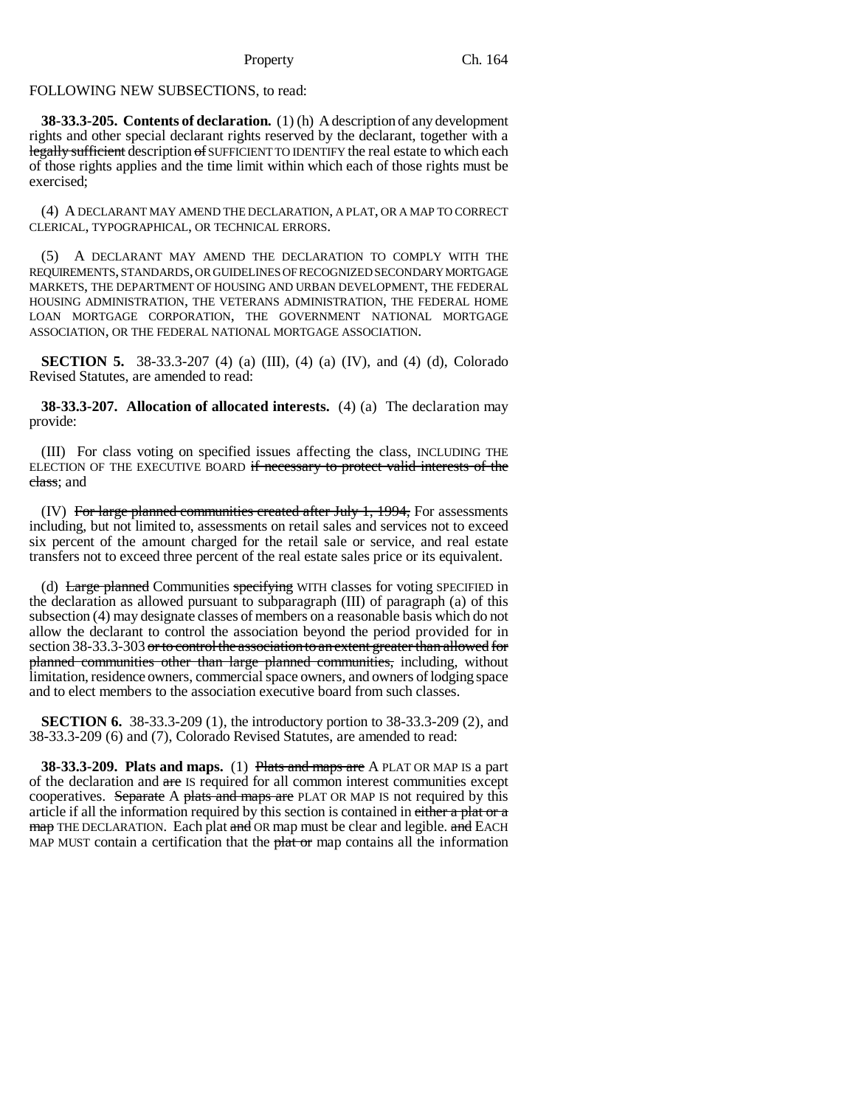### FOLLOWING NEW SUBSECTIONS, to read:

**38-33.3-205. Contents of declaration.** (1) (h) A description of any development rights and other special declarant rights reserved by the declarant, together with a legally sufficient description of SUFFICIENT TO IDENTIFY the real estate to which each of those rights applies and the time limit within which each of those rights must be exercised;

(4) A DECLARANT MAY AMEND THE DECLARATION, A PLAT, OR A MAP TO CORRECT CLERICAL, TYPOGRAPHICAL, OR TECHNICAL ERRORS.

(5) A DECLARANT MAY AMEND THE DECLARATION TO COMPLY WITH THE REQUIREMENTS, STANDARDS, OR GUIDELINES OF RECOGNIZED SECONDARY MORTGAGE MARKETS, THE DEPARTMENT OF HOUSING AND URBAN DEVELOPMENT, THE FEDERAL HOUSING ADMINISTRATION, THE VETERANS ADMINISTRATION, THE FEDERAL HOME LOAN MORTGAGE CORPORATION, THE GOVERNMENT NATIONAL MORTGAGE ASSOCIATION, OR THE FEDERAL NATIONAL MORTGAGE ASSOCIATION.

**SECTION 5.** 38-33.3-207 (4) (a) (III), (4) (a) (IV), and (4) (d), Colorado Revised Statutes, are amended to read:

**38-33.3-207. Allocation of allocated interests.** (4) (a) The declaration may provide:

(III) For class voting on specified issues affecting the class, INCLUDING THE ELECTION OF THE EXECUTIVE BOARD if necessary to protect valid interests of the class; and

(IV) For large planned communities created after July 1, 1994, For assessments including, but not limited to, assessments on retail sales and services not to exceed six percent of the amount charged for the retail sale or service, and real estate transfers not to exceed three percent of the real estate sales price or its equivalent.

(d) Large planned Communities specifying WITH classes for voting SPECIFIED in the declaration as allowed pursuant to subparagraph (III) of paragraph (a) of this subsection (4) may designate classes of members on a reasonable basis which do not allow the declarant to control the association beyond the period provided for in section 38-33.3-303 or to control the association to an extent greater than allowed for planned communities other than large planned communities, including, without limitation, residence owners, commercial space owners, and owners of lodging space and to elect members to the association executive board from such classes.

**SECTION 6.** 38-33.3-209 (1), the introductory portion to 38-33.3-209 (2), and 38-33.3-209 (6) and (7), Colorado Revised Statutes, are amended to read:

**38-33.3-209. Plats and maps.** (1) Plats and maps are A PLAT OR MAP IS a part of the declaration and are IS required for all common interest communities except cooperatives. Separate A plats and maps are PLAT OR MAP IS not required by this article if all the information required by this section is contained in either a plat or a map THE DECLARATION. Each plat and OR map must be clear and legible. and EACH MAP MUST contain a certification that the  $\frac{\partial^2 u}{\partial x^2}$  map contains all the information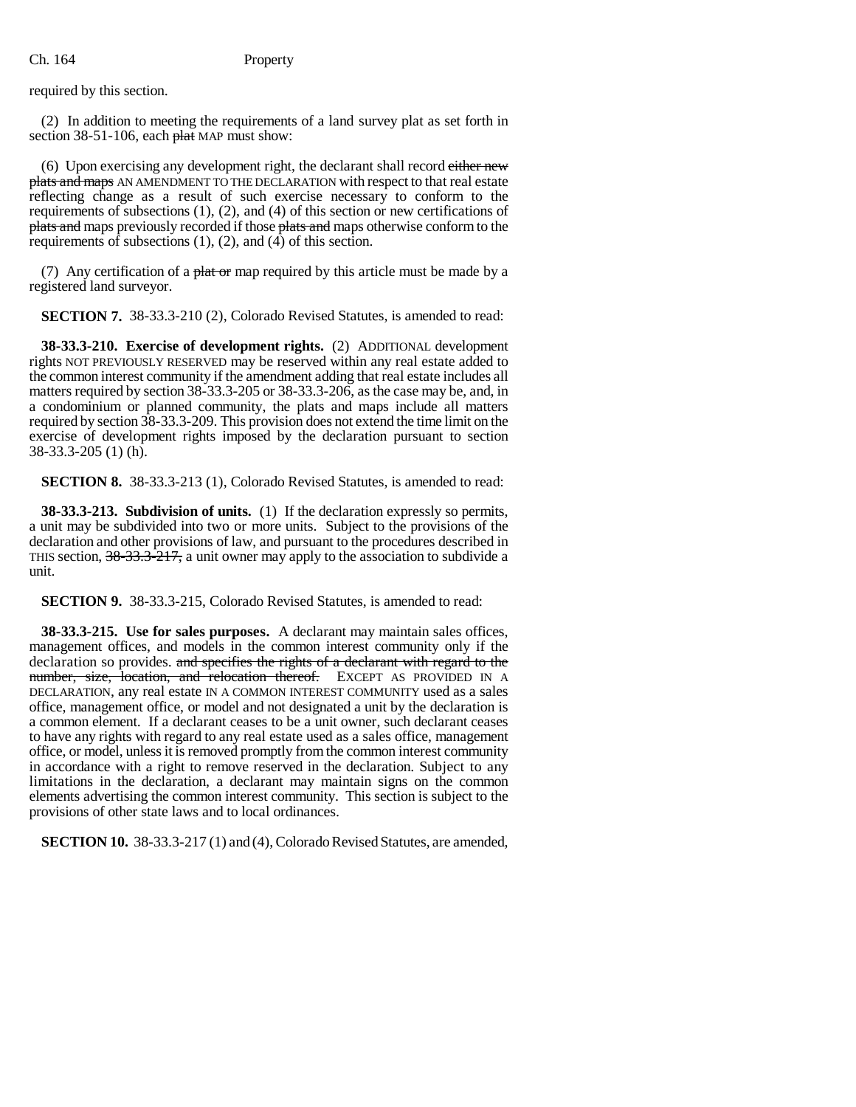### Ch. 164 Property

required by this section.

(2) In addition to meeting the requirements of a land survey plat as set forth in section  $38-51-106$ , each  $\frac{\text{flat}}{\text{hat}}$  MAP must show:

(6) Upon exercising any development right, the declarant shall record either new plats and maps AN AMENDMENT TO THE DECLARATION with respect to that real estate reflecting change as a result of such exercise necessary to conform to the requirements of subsections (1), (2), and (4) of this section or new certifications of plats and maps previously recorded if those plats and maps otherwise conform to the requirements of subsections  $(1)$ ,  $(2)$ , and  $(4)$  of this section.

(7) Any certification of a plat or map required by this article must be made by a registered land surveyor.

**SECTION 7.** 38-33.3-210 (2), Colorado Revised Statutes, is amended to read:

**38-33.3-210. Exercise of development rights.** (2) ADDITIONAL development rights NOT PREVIOUSLY RESERVED may be reserved within any real estate added to the common interest community if the amendment adding that real estate includes all matters required by section 38-33.3-205 or 38-33.3-206, as the case may be, and, in a condominium or planned community, the plats and maps include all matters required by section 38-33.3-209. This provision does not extend the time limit on the exercise of development rights imposed by the declaration pursuant to section 38-33.3-205 (1) (h).

**SECTION 8.** 38-33.3-213 (1), Colorado Revised Statutes, is amended to read:

**38-33.3-213. Subdivision of units.** (1) If the declaration expressly so permits, a unit may be subdivided into two or more units. Subject to the provisions of the declaration and other provisions of law, and pursuant to the procedures described in THIS section,  $38-33.3-217$ , a unit owner may apply to the association to subdivide a unit.

**SECTION 9.** 38-33.3-215, Colorado Revised Statutes, is amended to read:

**38-33.3-215. Use for sales purposes.** A declarant may maintain sales offices, management offices, and models in the common interest community only if the declaration so provides. and specifies the rights of a declarant with regard to the number, size, location, and relocation thereof. EXCEPT AS PROVIDED IN A DECLARATION, any real estate IN A COMMON INTEREST COMMUNITY used as a sales office, management office, or model and not designated a unit by the declaration is a common element. If a declarant ceases to be a unit owner, such declarant ceases to have any rights with regard to any real estate used as a sales office, management office, or model, unless it is removed promptly from the common interest community in accordance with a right to remove reserved in the declaration. Subject to any limitations in the declaration, a declarant may maintain signs on the common elements advertising the common interest community. This section is subject to the provisions of other state laws and to local ordinances.

**SECTION 10.** 38-33.3-217 (1) and (4), Colorado Revised Statutes, are amended,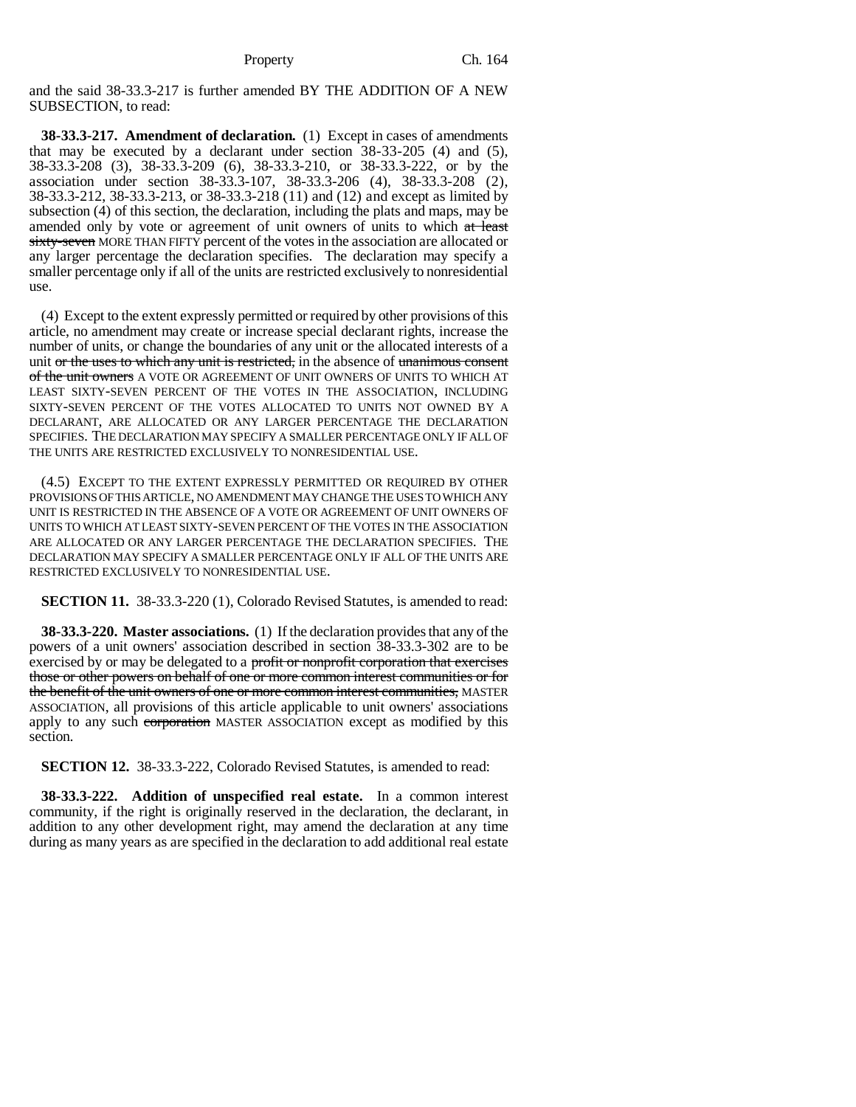and the said 38-33.3-217 is further amended BY THE ADDITION OF A NEW SUBSECTION, to read:

**38-33.3-217. Amendment of declaration.** (1) Except in cases of amendments that may be executed by a declarant under section 38-33-205 (4) and (5), 38-33.3-208 (3), 38-33.3-209 (6), 38-33.3-210, or 38-33.3-222, or by the association under section 38-33.3-107, 38-33.3-206 (4), 38-33.3-208 (2), 38-33.3-212, 38-33.3-213, or 38-33.3-218 (11) and (12) and except as limited by subsection (4) of this section, the declaration, including the plats and maps, may be amended only by vote or agreement of unit owners of units to which at least sixty-seven MORE THAN FIFTY percent of the votes in the association are allocated or any larger percentage the declaration specifies. The declaration may specify a smaller percentage only if all of the units are restricted exclusively to nonresidential use.

(4) Except to the extent expressly permitted or required by other provisions of this article, no amendment may create or increase special declarant rights, increase the number of units, or change the boundaries of any unit or the allocated interests of a unit or the uses to which any unit is restricted, in the absence of unanimous consent of the unit owners A VOTE OR AGREEMENT OF UNIT OWNERS OF UNITS TO WHICH AT LEAST SIXTY-SEVEN PERCENT OF THE VOTES IN THE ASSOCIATION, INCLUDING SIXTY-SEVEN PERCENT OF THE VOTES ALLOCATED TO UNITS NOT OWNED BY A DECLARANT, ARE ALLOCATED OR ANY LARGER PERCENTAGE THE DECLARATION SPECIFIES. THE DECLARATION MAY SPECIFY A SMALLER PERCENTAGE ONLY IF ALL OF THE UNITS ARE RESTRICTED EXCLUSIVELY TO NONRESIDENTIAL USE.

(4.5) EXCEPT TO THE EXTENT EXPRESSLY PERMITTED OR REQUIRED BY OTHER PROVISIONS OF THIS ARTICLE, NO AMENDMENT MAY CHANGE THE USES TO WHICH ANY UNIT IS RESTRICTED IN THE ABSENCE OF A VOTE OR AGREEMENT OF UNIT OWNERS OF UNITS TO WHICH AT LEAST SIXTY-SEVEN PERCENT OF THE VOTES IN THE ASSOCIATION ARE ALLOCATED OR ANY LARGER PERCENTAGE THE DECLARATION SPECIFIES. THE DECLARATION MAY SPECIFY A SMALLER PERCENTAGE ONLY IF ALL OF THE UNITS ARE RESTRICTED EXCLUSIVELY TO NONRESIDENTIAL USE.

**SECTION 11.** 38-33.3-220 (1), Colorado Revised Statutes, is amended to read:

**38-33.3-220. Master associations.** (1) If the declaration provides that any of the powers of a unit owners' association described in section 38-33.3-302 are to be exercised by or may be delegated to a profit or nonprofit corporation that exercises those or other powers on behalf of one or more common interest communities or for the benefit of the unit owners of one or more common interest communities, MASTER ASSOCIATION, all provisions of this article applicable to unit owners' associations apply to any such corporation MASTER ASSOCIATION except as modified by this section.

**SECTION 12.** 38-33.3-222, Colorado Revised Statutes, is amended to read:

**38-33.3-222. Addition of unspecified real estate.** In a common interest community, if the right is originally reserved in the declaration, the declarant, in addition to any other development right, may amend the declaration at any time during as many years as are specified in the declaration to add additional real estate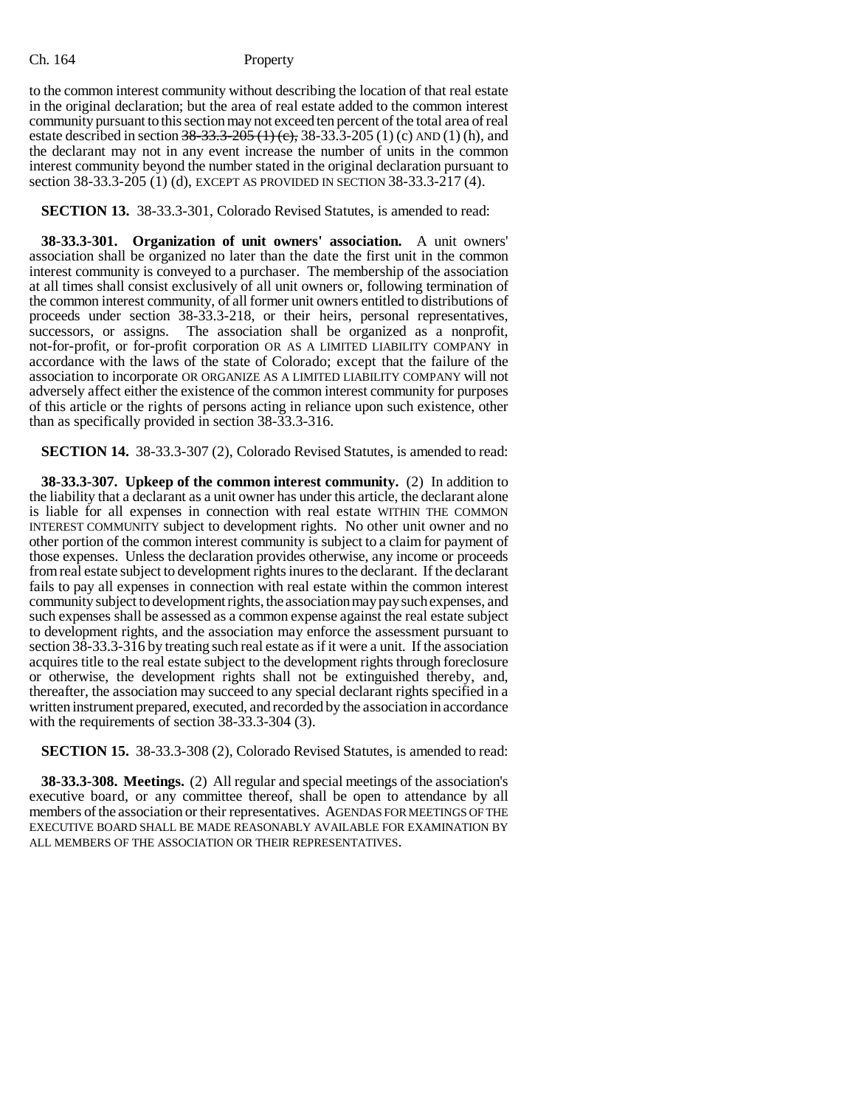to the common interest community without describing the location of that real estate in the original declaration; but the area of real estate added to the common interest community pursuant to this section may not exceed ten percent of the total area of real estate described in section  $38-33.3-205$  (1) (c), 38-33.3-205 (1) (c) AND (1) (h), and the declarant may not in any event increase the number of units in the common interest community beyond the number stated in the original declaration pursuant to section 38-33.3-205 (1) (d), EXCEPT AS PROVIDED IN SECTION 38-33.3-217 (4).

**SECTION 13.** 38-33.3-301, Colorado Revised Statutes, is amended to read:

**38-33.3-301. Organization of unit owners' association.** A unit owners' association shall be organized no later than the date the first unit in the common interest community is conveyed to a purchaser. The membership of the association at all times shall consist exclusively of all unit owners or, following termination of the common interest community, of all former unit owners entitled to distributions of proceeds under section 38-33.3-218, or their heirs, personal representatives, successors, or assigns. The association shall be organized as a nonprofit, not-for-profit, or for-profit corporation OR AS A LIMITED LIABILITY COMPANY in accordance with the laws of the state of Colorado; except that the failure of the association to incorporate OR ORGANIZE AS A LIMITED LIABILITY COMPANY will not adversely affect either the existence of the common interest community for purposes of this article or the rights of persons acting in reliance upon such existence, other than as specifically provided in section 38-33.3-316.

**SECTION 14.** 38-33.3-307 (2), Colorado Revised Statutes, is amended to read:

**38-33.3-307. Upkeep of the common interest community.** (2) In addition to the liability that a declarant as a unit owner has under this article, the declarant alone is liable for all expenses in connection with real estate WITHIN THE COMMON INTEREST COMMUNITY subject to development rights. No other unit owner and no other portion of the common interest community is subject to a claim for payment of those expenses. Unless the declaration provides otherwise, any income or proceeds from real estate subject to development rights inures to the declarant. If the declarant fails to pay all expenses in connection with real estate within the common interest community subject to development rights, the association may pay such expenses, and such expenses shall be assessed as a common expense against the real estate subject to development rights, and the association may enforce the assessment pursuant to section 38-33.3-316 by treating such real estate as if it were a unit. If the association acquires title to the real estate subject to the development rights through foreclosure or otherwise, the development rights shall not be extinguished thereby, and, thereafter, the association may succeed to any special declarant rights specified in a written instrument prepared, executed, and recorded by the association in accordance with the requirements of section 38-33.3-304 (3).

**SECTION 15.** 38-33.3-308 (2), Colorado Revised Statutes, is amended to read:

**38-33.3-308. Meetings.** (2) All regular and special meetings of the association's executive board, or any committee thereof, shall be open to attendance by all members of the association or their representatives. AGENDAS FOR MEETINGS OF THE EXECUTIVE BOARD SHALL BE MADE REASONABLY AVAILABLE FOR EXAMINATION BY ALL MEMBERS OF THE ASSOCIATION OR THEIR REPRESENTATIVES.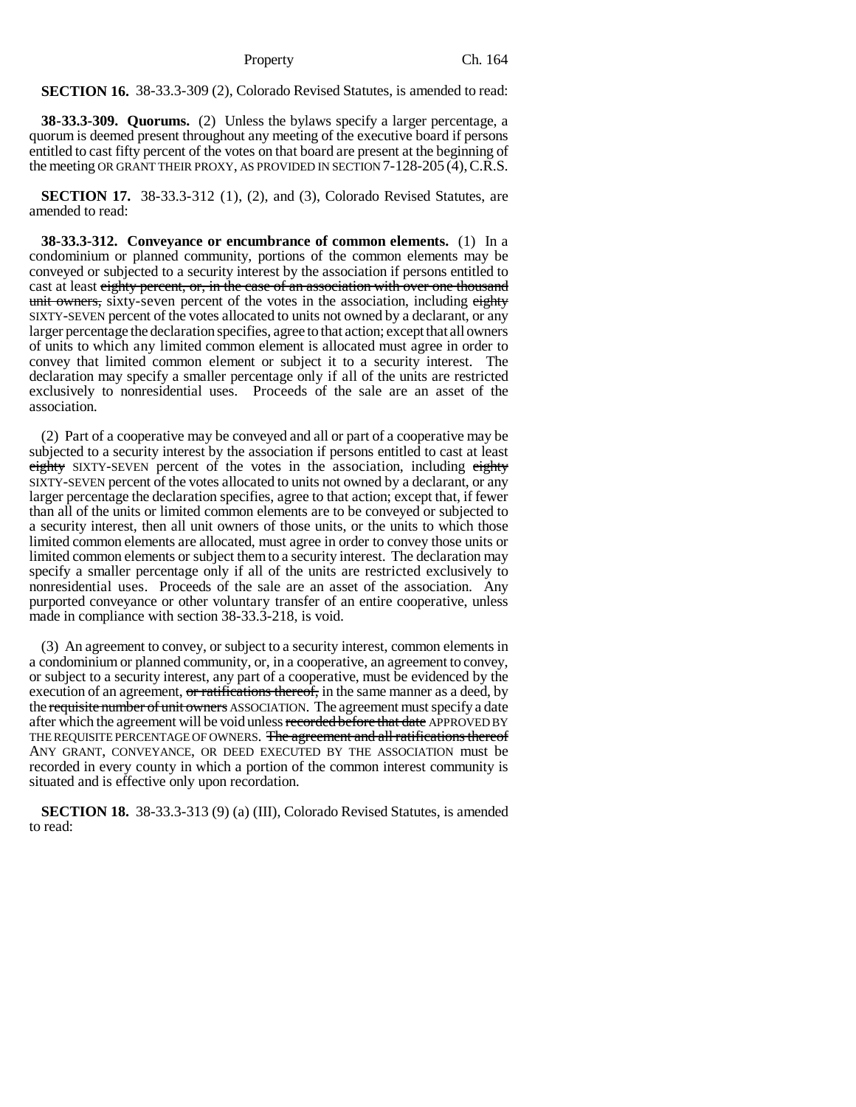**SECTION 16.** 38-33.3-309 (2), Colorado Revised Statutes, is amended to read:

**38-33.3-309. Quorums.** (2) Unless the bylaws specify a larger percentage, a quorum is deemed present throughout any meeting of the executive board if persons entitled to cast fifty percent of the votes on that board are present at the beginning of the meeting OR GRANT THEIR PROXY, AS PROVIDED IN SECTION 7-128-205 (4),C.R.S.

**SECTION 17.** 38-33.3-312 (1), (2), and (3), Colorado Revised Statutes, are amended to read:

**38-33.3-312. Conveyance or encumbrance of common elements.** (1) In a condominium or planned community, portions of the common elements may be conveyed or subjected to a security interest by the association if persons entitled to cast at least eighty percent, or, in the case of an association with over one thousand unit owners, sixty-seven percent of the votes in the association, including eighty SIXTY-SEVEN percent of the votes allocated to units not owned by a declarant, or any larger percentage the declaration specifies, agree to that action; except that all owners of units to which any limited common element is allocated must agree in order to convey that limited common element or subject it to a security interest. The declaration may specify a smaller percentage only if all of the units are restricted exclusively to nonresidential uses. Proceeds of the sale are an asset of the association.

(2) Part of a cooperative may be conveyed and all or part of a cooperative may be subjected to a security interest by the association if persons entitled to cast at least eighty SIXTY-SEVEN percent of the votes in the association, including eighty SIXTY-SEVEN percent of the votes allocated to units not owned by a declarant, or any larger percentage the declaration specifies, agree to that action; except that, if fewer than all of the units or limited common elements are to be conveyed or subjected to a security interest, then all unit owners of those units, or the units to which those limited common elements are allocated, must agree in order to convey those units or limited common elements or subject them to a security interest. The declaration may specify a smaller percentage only if all of the units are restricted exclusively to nonresidential uses. Proceeds of the sale are an asset of the association. Any purported conveyance or other voluntary transfer of an entire cooperative, unless made in compliance with section 38-33.3-218, is void.

(3) An agreement to convey, or subject to a security interest, common elements in a condominium or planned community, or, in a cooperative, an agreement to convey, or subject to a security interest, any part of a cooperative, must be evidenced by the execution of an agreement, or ratifications thereof, in the same manner as a deed, by the requisite number of unit owners ASSOCIATION. The agreement must specify a date after which the agreement will be void unless recorded before that date APPROVED BY THE REQUISITE PERCENTAGE OF OWNERS. The agreement and all ratifications thereof ANY GRANT, CONVEYANCE, OR DEED EXECUTED BY THE ASSOCIATION must be recorded in every county in which a portion of the common interest community is situated and is effective only upon recordation.

**SECTION 18.** 38-33.3-313 (9) (a) (III), Colorado Revised Statutes, is amended to read: